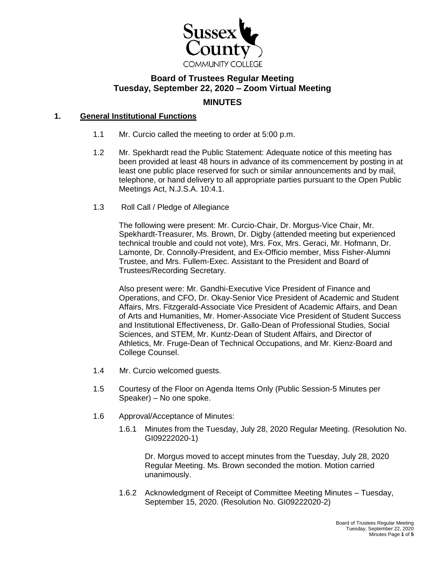

# **Board of Trustees Regular Meeting Tuesday, September 22, 2020 – Zoom Virtual Meeting MINUTES**

# **1. General Institutional Functions**

- 1.1 Mr. Curcio called the meeting to order at 5:00 p.m.
- 1.2 Mr. Spekhardt read the Public Statement: Adequate notice of this meeting has been provided at least 48 hours in advance of its commencement by posting in at least one public place reserved for such or similar announcements and by mail, telephone, or hand delivery to all appropriate parties pursuant to the Open Public Meetings Act, N.J.S.A. 10:4.1.
- 1.3 Roll Call / Pledge of Allegiance

The following were present: Mr. Curcio-Chair, Dr. Morgus-Vice Chair, Mr. Spekhardt-Treasurer, Ms. Brown, Dr. Digby (attended meeting but experienced technical trouble and could not vote), Mrs. Fox, Mrs. Geraci, Mr. Hofmann, Dr. Lamonte, Dr. Connolly-President, and Ex-Officio member, Miss Fisher-Alumni Trustee, and Mrs. Fullem-Exec. Assistant to the President and Board of Trustees/Recording Secretary.

Also present were: Mr. Gandhi-Executive Vice President of Finance and Operations, and CFO, Dr. Okay-Senior Vice President of Academic and Student Affairs, Mrs. Fitzgerald-Associate Vice President of Academic Affairs, and Dean of Arts and Humanities, Mr. Homer-Associate Vice President of Student Success and Institutional Effectiveness, Dr. Gallo-Dean of Professional Studies, Social Sciences, and STEM, Mr. Kuntz-Dean of Student Affairs, and Director of Athletics, Mr. Fruge-Dean of Technical Occupations, and Mr. Kienz-Board and College Counsel.

- 1.4 Mr. Curcio welcomed guests.
- 1.5 Courtesy of the Floor on Agenda Items Only (Public Session-5 Minutes per Speaker) – No one spoke.
- 1.6 Approval/Acceptance of Minutes:
	- 1.6.1 Minutes from the Tuesday, July 28, 2020 Regular Meeting. (Resolution No. GI09222020-1)

Dr. Morgus moved to accept minutes from the Tuesday, July 28, 2020 Regular Meeting. Ms. Brown seconded the motion. Motion carried unanimously.

1.6.2 Acknowledgment of Receipt of Committee Meeting Minutes – Tuesday, September 15, 2020. (Resolution No. GI09222020-2)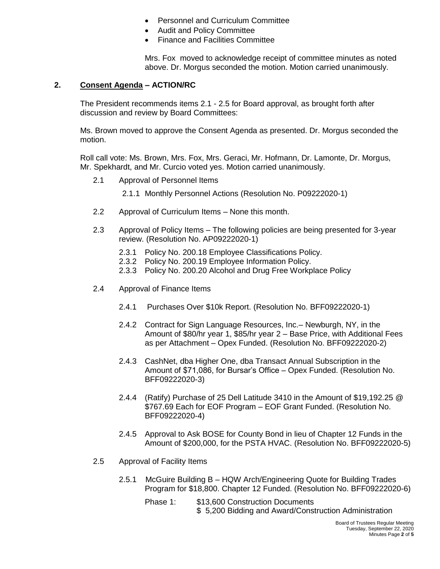- Personnel and Curriculum Committee
- Audit and Policy Committee
- Finance and Facilities Committee

Mrs. Fox moved to acknowledge receipt of committee minutes as noted above. Dr. Morgus seconded the motion. Motion carried unanimously.

#### **2. Consent Agenda – ACTION/RC**

The President recommends items 2.1 - 2.5 for Board approval, as brought forth after discussion and review by Board Committees:

Ms. Brown moved to approve the Consent Agenda as presented. Dr. Morgus seconded the motion.

Roll call vote: Ms. Brown, Mrs. Fox, Mrs. Geraci, Mr. Hofmann, Dr. Lamonte, Dr. Morgus, Mr. Spekhardt, and Mr. Curcio voted yes. Motion carried unanimously.

- 2.1 Approval of Personnel Items
	- 2.1.1 Monthly Personnel Actions (Resolution No. P09222020-1)
- 2.2 Approval of Curriculum Items None this month.
- 2.3 Approval of Policy Items The following policies are being presented for 3-year review. (Resolution No. AP09222020-1)
	- 2.3.1 Policy No. 200.18 Employee Classifications Policy.
	- 2.3.2 Policy No. 200.19 Employee Information Policy.
	- 2.3.3 Policy No. 200.20 Alcohol and Drug Free Workplace Policy
- 2.4 Approval of Finance Items
	- 2.4.1 Purchases Over \$10k Report. (Resolution No. BFF09222020-1)
	- 2.4.2 Contract for Sign Language Resources, Inc.– Newburgh, NY, in the Amount of \$80/hr year 1, \$85/hr year 2 – Base Price, with Additional Fees as per Attachment – Opex Funded. (Resolution No. BFF09222020-2)
	- 2.4.3 CashNet, dba Higher One, dba Transact Annual Subscription in the Amount of \$71,086, for Bursar's Office – Opex Funded. (Resolution No. BFF09222020-3)
	- 2.4.4 (Ratify) Purchase of 25 Dell Latitude 3410 in the Amount of \$19,192.25 @ \$767.69 Each for EOF Program – EOF Grant Funded. (Resolution No. BFF09222020-4)
	- 2.4.5 Approval to Ask BOSE for County Bond in lieu of Chapter 12 Funds in the Amount of \$200,000, for the PSTA HVAC. (Resolution No. BFF09222020-5)
- 2.5 Approval of Facility Items
	- 2.5.1 McGuire Building B HQW Arch/Engineering Quote for Building Trades Program for \$18,800. Chapter 12 Funded. (Resolution No. BFF09222020-6)
		- Phase 1: \$13,600 Construction Documents \$ 5,200 Bidding and Award/Construction Administration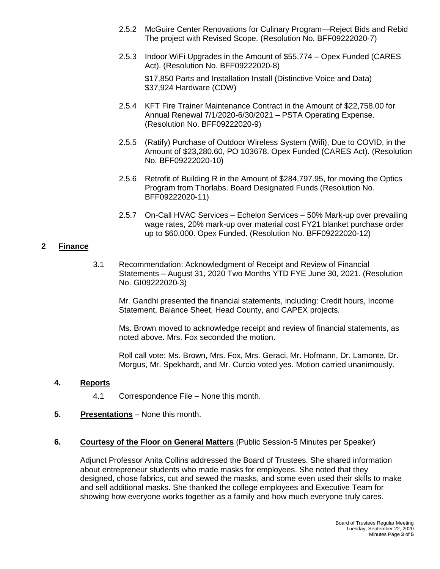- 2.5.2 McGuire Center Renovations for Culinary Program—Reject Bids and Rebid The project with Revised Scope. (Resolution No. BFF09222020-7)
- 2.5.3 Indoor WiFi Upgrades in the Amount of \$55,774 Opex Funded (CARES Act). (Resolution No. BFF09222020-8)

\$17,850 Parts and Installation Install (Distinctive Voice and Data) \$37,924 Hardware (CDW)

- 2.5.4 KFT Fire Trainer Maintenance Contract in the Amount of \$22,758.00 for Annual Renewal 7/1/2020-6/30/2021 – PSTA Operating Expense. (Resolution No. BFF09222020-9)
- 2.5.5 (Ratify) Purchase of Outdoor Wireless System (Wifi), Due to COVID, in the Amount of \$23,280.60, PO 103678. Opex Funded (CARES Act). (Resolution No. BFF09222020-10)
- 2.5.6 Retrofit of Building R in the Amount of \$284,797.95, for moving the Optics Program from Thorlabs. Board Designated Funds (Resolution No. BFF09222020-11)
- 2.5.7 On-Call HVAC Services Echelon Services 50% Mark-up over prevailing wage rates, 20% mark-up over material cost FY21 blanket purchase order up to \$60,000. Opex Funded. (Resolution No. BFF09222020-12)

### **2 Finance**

3.1 Recommendation: Acknowledgment of Receipt and Review of Financial Statements – August 31, 2020 Two Months YTD FYE June 30, 2021. (Resolution No. GI09222020-3)

Mr. Gandhi presented the financial statements, including: Credit hours, Income Statement, Balance Sheet, Head County, and CAPEX projects.

Ms. Brown moved to acknowledge receipt and review of financial statements, as noted above. Mrs. Fox seconded the motion.

Roll call vote: Ms. Brown, Mrs. Fox, Mrs. Geraci, Mr. Hofmann, Dr. Lamonte, Dr. Morgus, Mr. Spekhardt, and Mr. Curcio voted yes. Motion carried unanimously.

### **4. Reports**

- 4.1 Correspondence File None this month.
- **5. Presentations** None this month.

### **6. Courtesy of the Floor on General Matters** (Public Session-5 Minutes per Speaker)

Adjunct Professor Anita Collins addressed the Board of Trustees. She shared information about entrepreneur students who made masks for employees. She noted that they designed, chose fabrics, cut and sewed the masks, and some even used their skills to make and sell additional masks. She thanked the college employees and Executive Team for showing how everyone works together as a family and how much everyone truly cares.